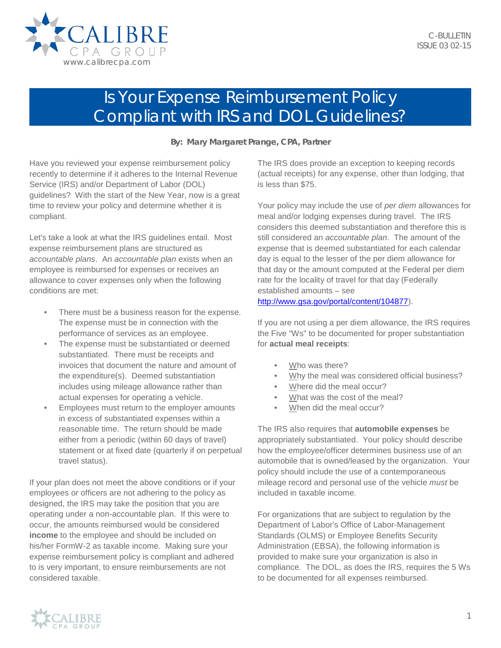

## Is Your Expense Reimbursement Policy Compliant with IRS and DOL Guidelines?

**By: Mary Margaret Prange, CPA, Partner**

Have you reviewed your expense reimbursement policy recently to determine if it adheres to the Internal Revenue Service (IRS) and/or Department of Labor (DOL) guidelines? With the start of the New Year, now is a great time to review your policy and determine whether it is compliant.

Let's take a look at what the IRS guidelines entail. Most expense reimbursement plans are structured as *accountable plans*. An *accountable plan* exists when an employee is reimbursed for expenses or receives an allowance to cover expenses only when the following conditions are met:

- There must be a business reason for the expense. The expense must be in connection with the performance of services as an employee.
- The expense must be substantiated or deemed substantiated. There must be receipts and invoices that document the nature and amount of the expenditure(s). Deemed substantiation includes using mileage allowance rather than actual expenses for operating a vehicle.
- Employees must return to the employer amounts in excess of substantiated expenses within a reasonable time. The return should be made either from a periodic (within 60 days of travel) statement or at fixed date (quarterly if on perpetual travel status).

If your plan does not meet the above conditions or if your employees or officers are not adhering to the policy as designed, the IRS may take the position that you are operating under a non-accountable plan. If this were to occur, the amounts reimbursed would be considered **income** to the employee and should be included on his/her FormW-2 as taxable income. Making sure your expense reimbursement policy is compliant and adhered to is very important, to ensure reimbursements are not considered taxable.

The IRS does provide an exception to keeping records (actual receipts) for any expense, other than lodging, that is less than \$75.

Your policy may include the use of *per diem* allowances for meal and/or lodging expenses during travel. The IRS considers this deemed substantiation and therefore this is still considered an *accountable plan*. The amount of the expense that is deemed substantiated for each calendar day is equal to the lesser of the per diem allowance for that day or the amount computed at the Federal per diem rate for the locality of travel for that day (Federally established amounts – see

[http://www.gsa.gov/portal/content/104877\)](http://www.gsa.gov/portal/content/104877).

If you are not using a per diem allowance, the IRS requires the Five "Ws" to be documented for proper substantiation for **actual meal receipts**:

- Who was there?
- Why the meal was considered official business?
- Where did the meal occur?
- What was the cost of the meal?
- When did the meal occur?

The IRS also requires that **automobile expenses** be appropriately substantiated. Your policy should describe how the employee/officer determines business use of an automobile that is owned/leased by the organization. Your policy should include the use of a contemporaneous mileage record and personal use of the vehicle *must* be included in taxable income.

For organizations that are subject to regulation by the Department of Labor's Office of Labor-Management Standards (OLMS) or Employee Benefits Security Administration (EBSA), the following information is provided to make sure your organization is also in compliance. The DOL, as does the IRS, requires the 5 Ws to be documented for all expenses reimbursed.